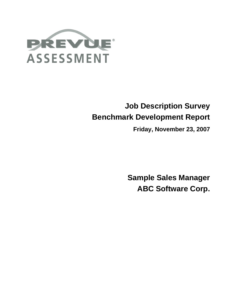

# **Job Description Survey Benchmark Development Report**

**Friday, November 23, 2007**

**Sample Sales Manager ABC Software Corp.**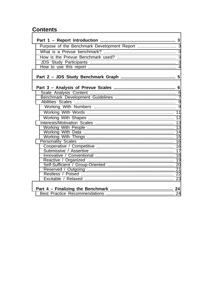## **Contents**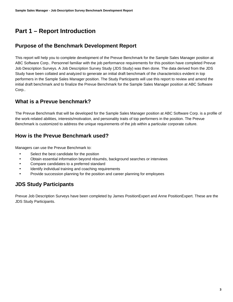# **Part 1 – Report Introduction**

### <span id="page-2-0"></span>**Purpose of the Benchmark Development Report**

<span id="page-2-1"></span>This report will help you to complete development of the Prevue Benchmark for the Sample Sales Manager position at ABC Software Corp.. Personnel familiar with the job performance requirements for this position have completed Prevue Job Description Surveys. A Job Description Survey Study (JDS Study) was then done. The data derived from the JDS Study have been collated and analyzed to generate an initial draft benchmark of the characteristics evident in top performers in the Sample Sales Manager position. The Study Participants will use this report to review and amend the initial draft benchmark and to finalize the Prevue Benchmark for the Sample Sales Manager position at ABC Software Corp..

### **What is a Prevue benchmark?**

<span id="page-2-2"></span>The Prevue Benchmark that will be developed for the Sample Sales Manager position at ABC Software Corp. is a profile of the work-related abilities, interests/motivation, and personality traits of top performers in the position. The Prevue Benchmark is customized to address the unique requirements of the job within a particular corporate culture.

### **How is the Prevue Benchmark used?**

Managers can use the Prevue Benchmark to:

- <span id="page-2-3"></span>Select the best candidate for the position
- Obtain essential information beyond résumés, background searches or interviews
- Compare candidates to a preferred standard
- Identify individual training and coaching requirements
- Provide succession planning for the position and career planning for employees

### **JDS Study Participants**

<span id="page-2-4"></span>Prevue Job Description Surveys have been completed by James PositionExpert and Anne PositionExpert. These are the JDS Study Participants.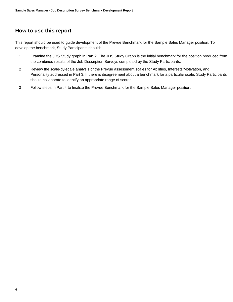### **How to use this report**

<span id="page-3-0"></span>This report should be used to guide development of the Prevue Benchmark for the Sample Sales Manager position. To develop the benchmark, Study Participants should:

- 1 Examine the JDS Study graph in Part 2. The JDS Study Graph is the initial benchmark for the position produced from the combined results of the Job Description Surveys completed by the Study Participants.
- 2 Review the scale-by-scale analysis of the Prevue assessment scales for Abilities, Interests/Motivation, and Personality addressed in Part 3. If there is disagreement about a benchmark for a particular scale, Study Participants should collaborate to identify an appropriate range of scores.
- 3 Follow steps in Part 4 to finalize the Prevue Benchmark for the Sample Sales Manager position.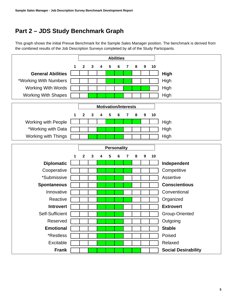# **Part 2 – JDS Study Benchmark Graph**

<span id="page-4-0"></span>This graph shows the initial Prevue Benchmark for the Sample Sales Manager position. The benchmark is derived from the combined results of the Job Description Surveys completed by all of the Study Participants.

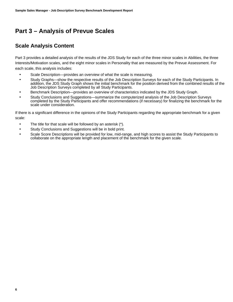# **Part 3 – Analysis of Prevue Scales**

### <span id="page-5-0"></span>**Scale Analysis Content**

<span id="page-5-1"></span>Part 3 provides a detailed analysis of the results of the JDS Study for each of the three minor scales in Abilities, the three Interests/Motivation scales, and the eight minor scales in Personality that are measured by the Prevue Assessment. For each scale, this analysis includes:

- Scale Description—provides an overview of what the scale is measuring.
- Study Graphs—show the respective results of the Job Description Surveys for each of the Study Participants. In addition, the JDS Study Graph shows the initial benchmark for the position derived from the combined results of the Job Description Surveys completed by all Study Participants.
- Benchmark Description—provides an overview of characteristics indicated by the JDS Study Graph.
- Study Conclusions and Suggestions—summarize the computerized analysis of the Job Description Surveys completed by the Study Participants and offer recommendations (if necessary) for finalizing the benchmark for the scale under consideration.

If there is a significant difference in the opinions of the Study Participants regarding the appropriate benchmark for a given scale:

- The title for that scale will be followed by an asterisk (\*).
- Study Conclusions and Suggestions will be in bold print.
- Scale Score Descriptions will be provided for low, mid-range, and high scores to assist the Study Participants to collaborate on the appropriate length and placement of the benchmark for the given scale.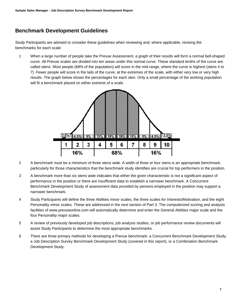### **Benchmark Development Guidelines**

<span id="page-6-0"></span>Study Participants are advised to consider these guidelines when reviewing and, where applicable, revising the benchmarks for each scale:

1 When a large number of people take the Prevue Assessment, a graph of their results will form a normal bell-shaped curve. All Prevue scales are divided into ten areas under this normal curve. These standard tenths of the curve are called stens. Most people (68% of the population) will score in the mid-range, where the curve is highest (stens 4 to 7). Fewer people will score in the tails of the curve, at the extremes of the scale, with either very low or very high results. The graph below shows the percentages for each sten. Only a small percentage of the working population will fit a benchmark placed on either extreme of a scale.



- 2 A benchmark must be a minimum of three stens wide. A width of three or four stens is an appropriate benchmark, particularly for those characteristics that the benchmark study identifies are crucial for top performers in the position.
- 3 A benchmark more than six stens wide indicates that either the given characteristic is not a significant aspect of performance in the position or there are insufficient data to establish a narrower benchmark. A Concurrent Benchmark Development Study of assessment data provided by persons employed in the position may support a narrower benchmark.
- 4 Study Participants will define the three Abilities minor scales, the three scales for Interests/Motivation, and the eight Personality minor scales. These are addressed in the next section of Part 3. The computerized scoring and analysis facilities of www.prevueonline.com will automatically determine and enter the General Abilities major scale and the four Personality major scales.
- 5 A review of previously developed job descriptions, job analysis studies, or job performance review documents will assist Study Participants to determine the most appropriate benchmarks.
- 6 There are three primary methods for developing a Prevue benchmark: a Concurrent Benchmark Development Study, a Job Description Survey Benchmark Development Study (covered in this report), or a Combination Benchmark Development Study.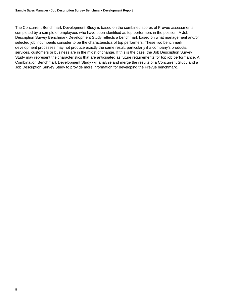The Concurrent Benchmark Development Study is based on the combined scores of Prevue assessments completed by a sample of employees who have been identified as top performers in the position. A Job Description Survey Benchmark Development Study reflects a benchmark based on what management and/or selected job incumbents consider to be the characteristics of top performers. These two benchmark development processes may not produce exactly the same result, particularly if a company's products, services, customers or business are in the midst of change. If this is the case, the Job Description Survey Study may represent the characteristics that are anticipated as future requirements for top job performance. A Combination Benchmark Development Study will analyze and merge the results of a Concurrent Study and a Job Description Survey Study to provide more information for developing the Prevue benchmark.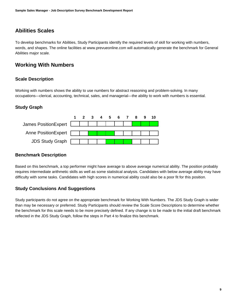### **Abilities Scales**

<span id="page-8-0"></span>To develop benchmarks for Abilities, Study Participants identify the required levels of skill for working with numbers, words, and shapes. The online facilities at www.prevueonline.com will automatically generate the benchmark for General Abilities major scale.

### **Working With Numbers**

#### <span id="page-8-1"></span>**Scale Description**

Working with numbers shows the ability to use numbers for abstract reasoning and problem-solving. In many occupations—clerical, accounting, technical, sales, and managerial—the ability to work with numbers is essential.

#### **Study Graph**



#### **Benchmark Description**

Based on this benchmark, a top performer might have average to above average numerical ability. The position probably requires intermediate arithmetic skills as well as some statistical analysis. Candidates with below average ability may have difficulty with some tasks. Candidates with high scores in numerical ability could also be a poor fit for this position.

#### **Study Conclusions And Suggestions**

Study participants do not agree on the appropriate benchmark for Working With Numbers. The JDS Study Graph is wider than may be necessary or preferred. Study Participants should review the Scale Score Descriptions to determine whether the benchmark for this scale needs to be more precisely defined. If any change is to be made to the initial draft benchmark reflected in the JDS Study Graph, follow the steps in Part 4 to finalize this benchmark.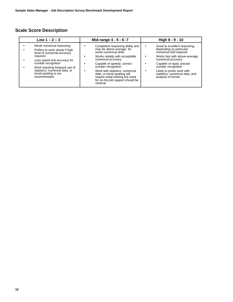### **Scale Score Description**

| Low $1 - 2 - 3$                                                                                                                                                                                                                                                        | Mid-range 4 - 5 - 6 -7                                                                                                                                                                                                                                                                                                                                  | High 8 - 9 - 10                                                                                                                                                                                                                                                                      |
|------------------------------------------------------------------------------------------------------------------------------------------------------------------------------------------------------------------------------------------------------------------------|---------------------------------------------------------------------------------------------------------------------------------------------------------------------------------------------------------------------------------------------------------------------------------------------------------------------------------------------------------|--------------------------------------------------------------------------------------------------------------------------------------------------------------------------------------------------------------------------------------------------------------------------------------|
| Weak numerical reasoning<br>Prefers to work slowly if high<br>level of numerical accuracy<br>required<br>Less speed and accuracy for<br>number recognition<br>Work requiring frequent use of<br>statistics, numerical data, or<br>trend-spotting is not<br>recommended | Competent reasoning ability and<br>may be above average for<br>some numerical skills<br>Works reliably with acceptable<br>numerical accuracy<br>Capable of speedy, correct<br>number recognition<br>Work with statistics, numerical<br>data, or trend-spotting will<br>require initial training but need<br>for on-the-job support should be<br>minimal | Good to excellent reasoning,<br>depending on particular<br>numerical skill required<br>Works fast with above-average<br>numerical accuracy<br>Capable of rapid, precise<br>number recognition<br>Likely to prefer work with<br>statistics, numerical data, and<br>analysis of trends |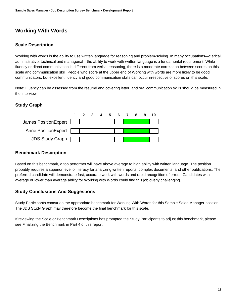### **Working With Words**

#### <span id="page-10-0"></span>**Scale Description**

Working with words is the ability to use written language for reasoning and problem-solving. In many occupations—clerical, administrative, technical and managerial—the ability to work with written language is a fundamental requirement. While fluency or direct communication is different from verbal reasoning, there is a moderate correlation between scores on this scale and communication skill. People who score at the upper end of Working with words are more likely to be good communicators, but excellent fluency and good communication skills can occur irrespective of scores on this scale.

Note: Fluency can be assessed from the résumé and covering letter, and oral communication skills should be measured in the interview.

#### **Study Graph**



#### **Benchmark Description**

Based on this benchmark, a top performer will have above average to high ability with written language. The position probably requires a superior level of literacy for analyzing written reports, complex documents, and other publications. The preferred candidate will demonstrate fast, accurate work with words and rapid recognition of errors. Candidates with average or lower than average ability for Working with Words could find this job overly challenging.

#### **Study Conclusions And Suggestions**

Study Participants concur on the appropriate benchmark for Working With Words for this Sample Sales Manager position. The JDS Study Graph may therefore become the final benchmark for this scale.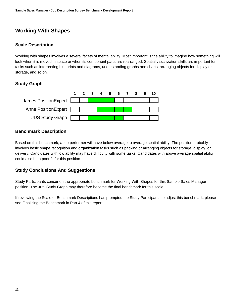### **Working With Shapes**

#### <span id="page-11-0"></span>**Scale Description**

Working with shapes involves a several facets of mental ability. Most important is the ability to imagine how something will look when it is moved in space or when its component parts are rearranged. Spatial visualization skills are important for tasks such as interpreting blueprints and diagrams, understanding graphs and charts, arranging objects for display or storage, and so on.

#### **Study Graph**



#### **Benchmark Description**

Based on this benchmark, a top performer will have below average to average spatial ability. The position probably involves basic shape recognition and organization tasks such as packing or arranging objects for storage, display, or delivery. Candidates with low ability may have difficulty with some tasks. Candidates with above average spatial ability could also be a poor fit for this position.

#### **Study Conclusions And Suggestions**

Study Participants concur on the appropriate benchmark for Working With Shapes for this Sample Sales Manager position. The JDS Study Graph may therefore become the final benchmark for this scale.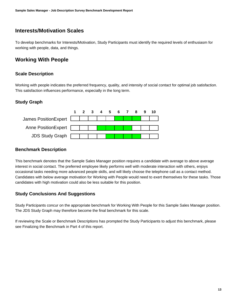### **Interests/Motivation Scales**

<span id="page-12-0"></span>To develop benchmarks for Interests/Motivation, Study Participants must identify the required levels of enthusiasm for working with people, data, and things.

### **Working With People**

#### <span id="page-12-1"></span>**Scale Description**

Working with people indicates the preferred frequency, quality, and intensity of social contact for optimal job satisfaction. This satisfaction influences performance, especially in the long term.

#### **Study Graph**



#### **Benchmark Description**

This benchmark denotes that the Sample Sales Manager position requires a candidate with average to above average interest in social contact. The preferred employee likely performs well with moderate interaction with others, enjoys occasional tasks needing more advanced people skills, and will likely choose the telephone call as a contact method. Candidates with below average motivation for Working with People would need to exert themselves for these tasks. Those candidates with high motivation could also be less suitable for this position.

#### **Study Conclusions And Suggestions**

Study Participants concur on the appropriate benchmark for Working With People for this Sample Sales Manager position. The JDS Study Graph may therefore become the final benchmark for this scale.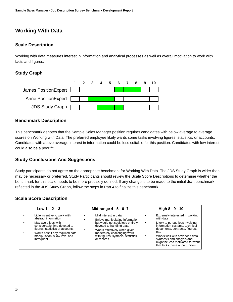### **Working With Data**

#### <span id="page-13-0"></span>**Scale Description**

Working with data measures interest in information and analytical processes as well as overall motivation to work with facts and figures.

#### **Study Graph**



#### **Benchmark Description**

This benchmark denotes that the Sample Sales Manager position requires candidates with below average to average scores on Working with Data. The preferred employee likely wants some tasks involving figures, statistics, or accounts. Candidates with above average interest in information could be less suitable for this position. Candidates with low interest could also be a poor fit.

#### **Study Conclusions And Suggestions**

Study participants do not agree on the appropriate benchmark for Working With Data. The JDS Study Graph is wider than may be necessary or preferred. Study Participants should review the Scale Score Descriptions to determine whether the benchmark for this scale needs to be more precisely defined. If any change is to be made to the initial draft benchmark reflected in the JDS Study Graph, follow the steps in Part 4 to finalize this benchmark.

#### **Scale Score Description**

| Low $1 - 2 - 3$                                                                                                                                                                                                                   | Mid-range 4 - 5 - 6 -7                                                                                                                                                                                                                      | High 8 - 9 - 10                                                                                                                                                                                                                                                                                       |
|-----------------------------------------------------------------------------------------------------------------------------------------------------------------------------------------------------------------------------------|---------------------------------------------------------------------------------------------------------------------------------------------------------------------------------------------------------------------------------------------|-------------------------------------------------------------------------------------------------------------------------------------------------------------------------------------------------------------------------------------------------------------------------------------------------------|
| Little incentive to work with<br>abstract information<br>May avoid jobs with<br>considerable time devoted to<br>figures, statistics or accounts<br>Works best if any required data<br>manipulation is low level and<br>infrequent | Mild interest in data<br>Enjoys manipulating information<br>but would not seek jobs entirely<br>devoted to handling data<br>Works effectively when given<br>moderately challenging work<br>with figures, symbols, statistics,<br>or records | Extremely interested in working<br>with data<br>Likely to pursue jobs involving<br>٠<br>information systems, technical<br>documents, contracts, figures,<br>etc.<br>Works well with advanced data<br>synthesis and analysis and<br>might be less motivated for work<br>that lacks these opportunities |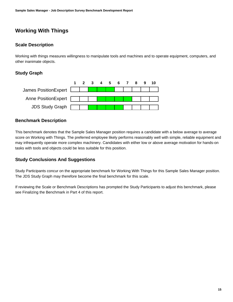### **Working With Things**

#### <span id="page-14-0"></span>**Scale Description**

Working with things measures willingness to manipulate tools and machines and to operate equipment, computers, and other inanimate objects.

#### **Study Graph**



#### **Benchmark Description**

This benchmark denotes that the Sample Sales Manager position requires a candidate with a below average to average score on Working with Things. The preferred employee likely performs reasonably well with simple, reliable equipment and may infrequently operate more complex machinery. Candidates with either low or above average motivation for hands-on tasks with tools and objects could be less suitable for this position.

#### **Study Conclusions And Suggestions**

Study Participants concur on the appropriate benchmark for Working With Things for this Sample Sales Manager position. The JDS Study Graph may therefore become the final benchmark for this scale.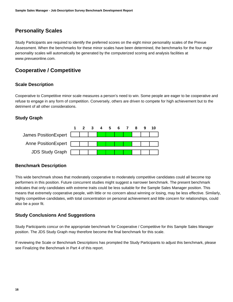### **Personality Scales**

<span id="page-15-0"></span>Study Participants are required to identify the preferred scores on the eight minor personality scales of the Prevue Assessment. When the benchmarks for these minor scales have been determined, the benchmarks for the four major personality scales will automatically be generated by the computerized scoring and analysis facilities at www.prevueonline.com.

### **Cooperative / Competitive**

#### <span id="page-15-1"></span>**Scale Description**

Cooperative to Competitive minor scale measures a person's need to win. Some people are eager to be cooperative and refuse to engage in any form of competition. Conversely, others are driven to compete for high achievement but to the detriment of all other considerations.

#### **Study Graph**



#### **Benchmark Description**

This wide benchmark shows that moderately cooperative to moderately competitive candidates could all become top performers in this position. Future concurrent studies might suggest a narrower benchmark. The present benchmark indicates that only candidates with extreme traits could be less suitable for the Sample Sales Manager position. This means that extremely cooperative people, with little or no concern about winning or losing, may be less effective. Similarly, highly competitive candidates, with total concentration on personal achievement and little concern for relationships, could also be a poor fit.

#### **Study Conclusions And Suggestions**

Study Participants concur on the appropriate benchmark for Cooperative / Competitive for this Sample Sales Manager position. The JDS Study Graph may therefore become the final benchmark for this scale.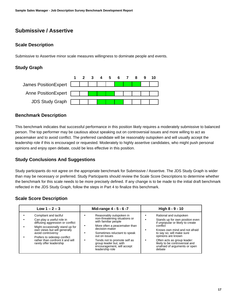### **Submissive / Assertive**

#### <span id="page-16-0"></span>**Scale Description**

Submissive to Assertive minor scale measures willingness to dominate people and events.

#### **Study Graph**



#### **Benchmark Description**

This benchmark indicates that successful performance in this position likely requires a moderately submissive to balanced person. The top performer may be cautious about speaking out on controversial issues and more willing to act as peacemaker and to avoid conflict. The preferred candidate will be reasonably outspoken and will usually accept the leadership role if this is encouraged or requested. Moderately to highly assertive candidates, who might push personal opinions and enjoy open debate, could be less effective in this position.

#### **Study Conclusions And Suggestions**

Study participants do not agree on the appropriate benchmark for Submissive / Assertive. The JDS Study Graph is wider than may be necessary or preferred. Study Participants should review the Scale Score Descriptions to determine whether the benchmark for this scale needs to be more precisely defined. If any change is to be made to the initial draft benchmark reflected in the JDS Study Graph, follow the steps in Part 4 to finalize this benchmark.

#### **Scale Score Description**

| Low $1 - 2 - 3$                                                                                                                                                                                                                                                               | Mid-range 4 - 5 - 6 -7                                                                                                                                                                                                                                                                         | High 8 - 9 - 10                                                                                                                                                                                                                                                                                           |
|-------------------------------------------------------------------------------------------------------------------------------------------------------------------------------------------------------------------------------------------------------------------------------|------------------------------------------------------------------------------------------------------------------------------------------------------------------------------------------------------------------------------------------------------------------------------------------------|-----------------------------------------------------------------------------------------------------------------------------------------------------------------------------------------------------------------------------------------------------------------------------------------------------------|
| Compliant and tactful<br>Can play a useful role in<br>diffusing aggression or conflict<br>Might occasionally stand up for<br>own views but will generally<br>avoid controversy<br>Prefers to sidestep conflict<br>rather than confront it and will<br>rarely offer leadership | Reasonably outspoken in<br>non-threatening situations or<br>with familiar people<br>More often a peacemaker than<br>decision-maker<br>Sometimes reluctant to speak<br>out on issues<br>Tends not to promote self as<br>group leader but, with<br>encouragement, will accept<br>leadership role | Rational and outspoken<br>Stands up for own position even<br>if unpopular or likely to create<br>conflict<br>Knows own mind and not afraid<br>to say so; will make sure<br>opinions are known<br>Often acts as group leader:<br>likely to be controversial and<br>unafraid of arguments or open<br>debate |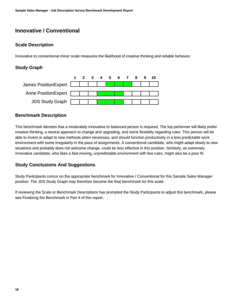### **Innovative / Conventional**

#### <span id="page-17-0"></span>**Scale Description**

Innovative to conventional minor scale measures the likelihood of creative thinking and reliable behavior.

#### **Study Graph**



#### **Benchmark Description**

This benchmark denotes that a moderately innovative to balanced person is required. The top performer will likely prefer creative thinking, a neutral approach to change and upgrading, and some flexibility regarding rules. This person will be able to invent or adapt to new methods when necessary, and should function productively in a less predictable work environment with some irregularity in the pace of assignments. A conventional candidate, who might adapt slowly to new situations and probably does not welcome change, could be less effective in this position. Similarly, an extremely innovative candidate, who likes a fast-moving, unpredictable environment with few rules, might also be a poor fit.

#### **Study Conclusions And Suggestions**

Study Participants concur on the appropriate benchmark for Innovative / Conventional for this Sample Sales Manager position. The JDS Study Graph may therefore become the final benchmark for this scale.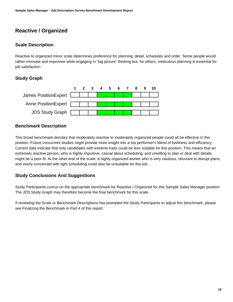### **Reactive / Organized**

#### <span id="page-18-0"></span>**Scale Description**

Reactive to organized minor scale determines preference for planning, detail, schedules and order. Some people would rather innovate and improvise while engaging in "big picture" thinking but, for others, meticulous planning is essential for job satisfaction.

#### **Study Graph**



#### **Benchmark Description**

This broad benchmark denotes that moderately reactive to moderately organized people could all be effective in this position. Future concurrent studies might provide more insight into a top performer's blend of liveliness and efficiency. Current data indicate that only candidates with extreme traits could be less suitable for this position. This means that an extremely reactive person, who is highly impulsive, casual about scheduling, and unwilling to plan or deal with details, might be a poor fit. At the other end of the scale, a highly organized worker who is very cautious, reluctant to disrupt plans, and overly concerned with tight scheduling could also be unsuitable for this job.

#### **Study Conclusions And Suggestions**

Study Participants concur on the appropriate benchmark for Reactive / Organized for this Sample Sales Manager position. The JDS Study Graph may therefore become the final benchmark for this scale.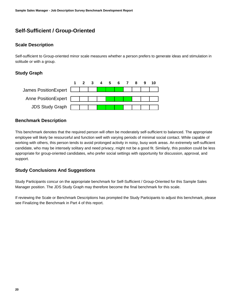### **Self-Sufficient / Group-Oriented**

#### <span id="page-19-0"></span>**Scale Description**

Self-sufficient to Group-oriented minor scale measures whether a person prefers to generate ideas and stimulation in solitude or with a group.

#### **Study Graph**



#### **Benchmark Description**

This benchmark denotes that the required person will often be moderately self-sufficient to balanced. The appropriate employee will likely be resourceful and function well with varying periods of minimal social contact. While capable of working with others, this person tends to avoid prolonged activity in noisy, busy work areas. An extremely self-sufficient candidate, who may be intensely solitary and need privacy, might not be a good fit. Similarly, this position could be less appropriate for group-oriented candidates, who prefer social settings with opportunity for discussion, approval, and support.

#### **Study Conclusions And Suggestions**

Study Participants concur on the appropriate benchmark for Self-Sufficient / Group-Oriented for this Sample Sales Manager position. The JDS Study Graph may therefore become the final benchmark for this scale.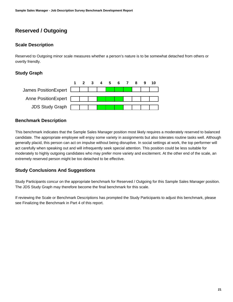### **Reserved / Outgoing**

#### <span id="page-20-0"></span>**Scale Description**

Reserved to Outgoing minor scale measures whether a person's nature is to be somewhat detached from others or overtly friendly.

#### **Study Graph**



#### **Benchmark Description**

This benchmark indicates that the Sample Sales Manager position most likely requires a moderately reserved to balanced candidate. The appropriate employee will enjoy some variety in assignments but also tolerates routine tasks well. Although generally placid, this person can act on impulse without being disruptive. In social settings at work, the top performer will act carefully when speaking out and will infrequently seek special attention. This position could be less suitable for moderately to highly outgoing candidates who may prefer more variety and excitement. At the other end of the scale, an extremely reserved person might be too detached to be effective.

#### **Study Conclusions And Suggestions**

Study Participants concur on the appropriate benchmark for Reserved / Outgoing for this Sample Sales Manager position. The JDS Study Graph may therefore become the final benchmark for this scale.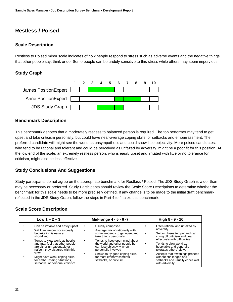### **Restless / Poised**

#### <span id="page-21-0"></span>**Scale Description**

Restless to Poised minor scale indicates of how people respond to stress such as adverse events and the negative things that other people say, think or do. Some people can be unduly sensitive to this stress while others may seem impervious.

#### **Study Graph**



#### **Benchmark Description**

This benchmark denotes that a moderately restless to balanced person is required. The top performer may tend to get upset and take criticism personally, but could have near-average coping skills for setbacks and embarrassment. The preferred candidate will might see the world as unsympathetic and could show little objectivity. More poised candidates, who tend to be rational and tolerant and could be perceived as unfazed by adversity, might be a poor fit for this position. At the low end of the scale, an extremely restless person, who is easily upset and irritated with little or no tolerance for criticism, might also be less effective.

#### **Study Conclusions And Suggestions**

Study participants do not agree on the appropriate benchmark for Restless / Poised. The JDS Study Graph is wider than may be necessary or preferred. Study Participants should review the Scale Score Descriptions to determine whether the benchmark for this scale needs to be more precisely defined. If any change is to be made to the initial draft benchmark reflected in the JDS Study Graph, follow the steps in Part 4 to finalize this benchmark.

#### **Scale Score Description**

| Low $1 - 2 - 3$                                                                                                                                                                                                                                                                                                                                                  | Mid-range 4 - 5 - 6 -7                                                                                                                                                                                                                                                                                                          | High 8 - 9 - 10                                                                                                                                                                                                                                                                                                                                           |
|------------------------------------------------------------------------------------------------------------------------------------------------------------------------------------------------------------------------------------------------------------------------------------------------------------------------------------------------------------------|---------------------------------------------------------------------------------------------------------------------------------------------------------------------------------------------------------------------------------------------------------------------------------------------------------------------------------|-----------------------------------------------------------------------------------------------------------------------------------------------------------------------------------------------------------------------------------------------------------------------------------------------------------------------------------------------------------|
| Can be irritable and easily upset<br>Will lose temper occasionally<br>but irritation is usually<br>short-lived<br>Tends to view world as hostile<br>and may feel that other people<br>are either unreasonable or<br>naïve if they disagree with this<br>view<br>Might have weak coping skills<br>for embarrassing situations,<br>setbacks, or personal criticism | Usually composed<br>Average mix of rationality with<br>some tendency to get upset and<br>take things personally<br>Tends to keep open mind about<br>the world and other people but<br>can lose objectivity when<br>personally involved<br>Shows fairly good coping skills<br>for most embarrassments.<br>setbacks, or criticism | Often rational and unfazed by<br>adversity<br>Seldom loses temper and can<br>shrug off criticism and deal<br>effectively with difficulties<br>Tends to view world as<br>hospitable and generally<br>tolerates others <sup>7</sup> views<br>Accepts that few things proceed<br>without challenges and<br>setbacks and usually copes well<br>with adversity |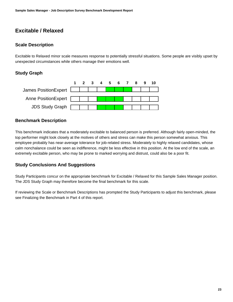### **Excitable / Relaxed**

#### <span id="page-22-0"></span>**Scale Description**

Excitable to Relaxed minor scale measures response to potentially stressful situations. Some people are visibly upset by unexpected circumstances while others manage their emotions well.

#### **Study Graph**



#### **Benchmark Description**

This benchmark indicates that a moderately excitable to balanced person is preferred. Although fairly open-minded, the top performer might look closely at the motives of others and stress can make this person somewhat anxious. This employee probably has near-average tolerance for job-related stress. Moderately to highly relaxed candidates, whose calm nonchalance could be seen as indifference, might be less effective in this position. At the low end of the scale, an extremely excitable person, who may be prone to marked worrying and distrust, could also be a poor fit.

#### **Study Conclusions And Suggestions**

Study Participants concur on the appropriate benchmark for Excitable / Relaxed for this Sample Sales Manager position. The JDS Study Graph may therefore become the final benchmark for this scale.